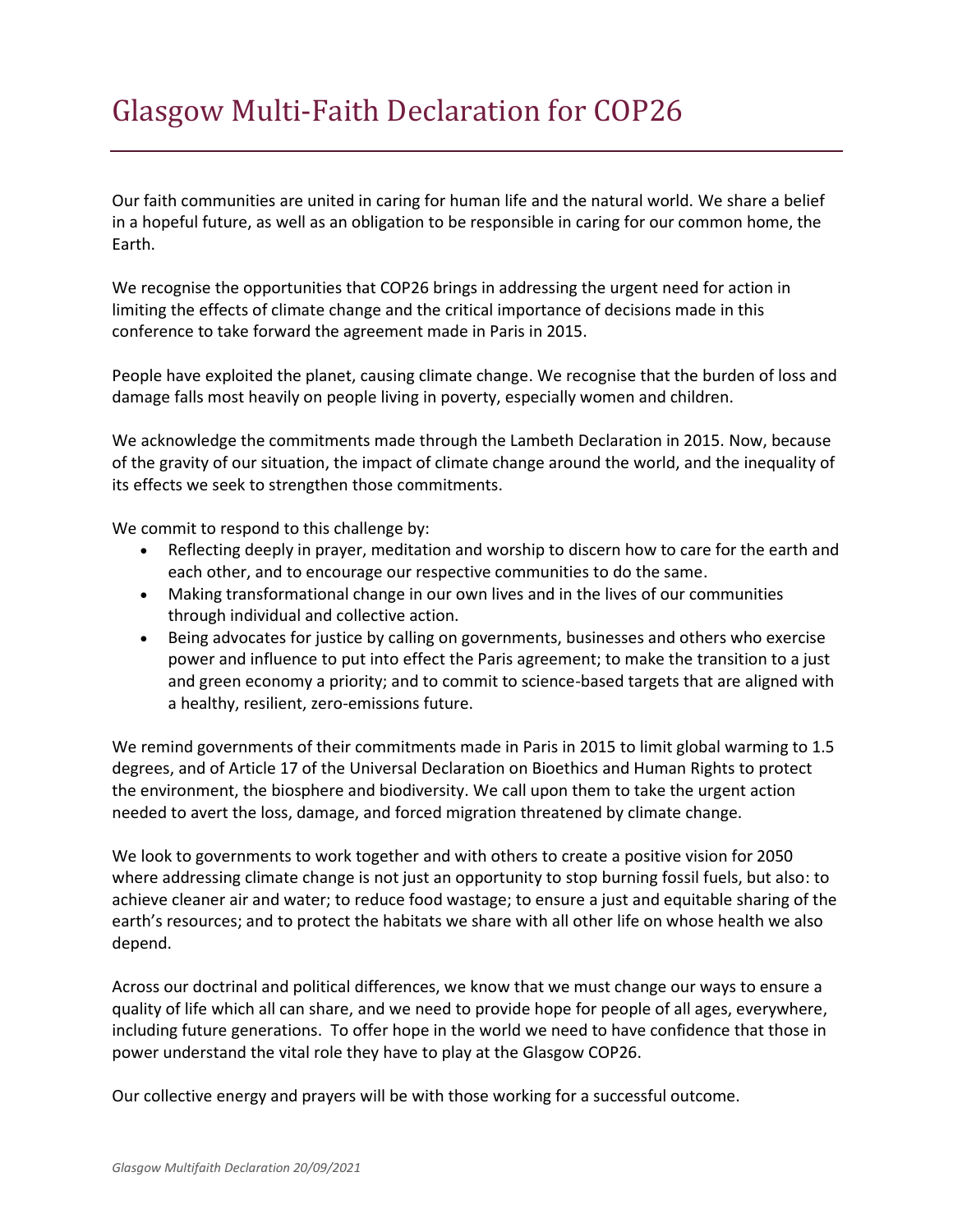Our faith communities are united in caring for human life and the natural world. We share a belief in a hopeful future, as well as an obligation to be responsible in caring for our common home, the Earth.

We recognise the opportunities that COP26 brings in addressing the urgent need for action in limiting the effects of climate change and the critical importance of decisions made in this conference to take forward the agreement made in Paris in 2015.

People have exploited the planet, causing climate change. We recognise that the burden of loss and damage falls most heavily on people living in poverty, especially women and children.

We acknowledge the commitments made through the Lambeth Declaration in 2015. Now, because of the gravity of our situation, the impact of climate change around the world, and the inequality of its effects we seek to strengthen those commitments.

We commit to respond to this challenge by:

- Reflecting deeply in prayer, meditation and worship to discern how to care for the earth and each other, and to encourage our respective communities to do the same.
- Making transformational change in our own lives and in the lives of our communities through individual and collective action.
- Being advocates for justice by calling on governments, businesses and others who exercise power and influence to put into effect the Paris agreement; to make the transition to a just and green economy a priority; and to commit to science-based targets that are aligned with a healthy, resilient, zero-emissions future.

We remind governments of their commitments made in Paris in 2015 to limit global warming to 1.5 degrees, and of Article 17 of the Universal Declaration on Bioethics and Human Rights to protect the environment, the biosphere and biodiversity. We call upon them to take the urgent action needed to avert the loss, damage, and forced migration threatened by climate change.

We look to governments to work together and with others to create a positive vision for 2050 where addressing climate change is not just an opportunity to stop burning fossil fuels, but also: to achieve cleaner air and water; to reduce food wastage; to ensure a just and equitable sharing of the earth's resources; and to protect the habitats we share with all other life on whose health we also depend.

Across our doctrinal and political differences, we know that we must change our ways to ensure a quality of life which all can share, and we need to provide hope for people of all ages, everywhere, including future generations. To offer hope in the world we need to have confidence that those in power understand the vital role they have to play at the Glasgow COP26.

Our collective energy and prayers will be with those working for a successful outcome.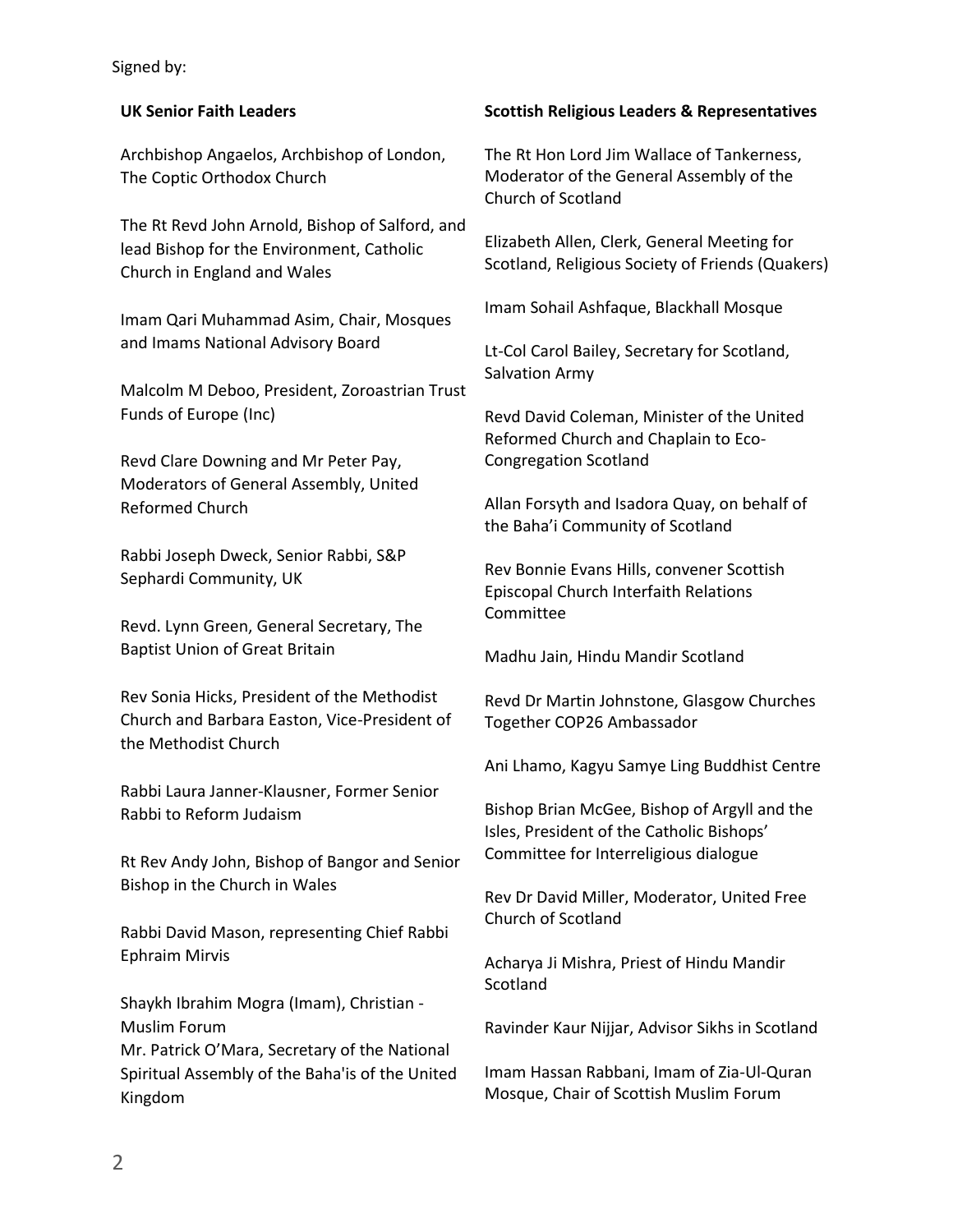## Signed by:

## **UK Senior Faith Leaders**

Archbishop Angaelos, Archbishop of London, The Coptic Orthodox Church

The Rt Revd John Arnold, Bishop of Salford, and lead Bishop for the Environment, Catholic Church in England and Wales

Imam Qari Muhammad Asim, Chair, Mosques and Imams National Advisory Board

Malcolm M Deboo, President, Zoroastrian Trust Funds of Europe (Inc)

Revd Clare Downing and Mr Peter Pay, Moderators of General Assembly, United Reformed Church

Rabbi Joseph Dweck, Senior Rabbi, S&P Sephardi Community, UK

Revd. Lynn Green, General Secretary, The Baptist Union of Great Britain

Rev Sonia Hicks, President of the Methodist Church and Barbara Easton, Vice-President of the Methodist Church

Rabbi Laura Janner-Klausner, Former Senior Rabbi to Reform Judaism

Rt Rev Andy John, Bishop of Bangor and Senior Bishop in the Church in Wales

Rabbi David Mason, representing Chief Rabbi Ephraim Mirvis

Shaykh Ibrahim Mogra (Imam), Christian - Muslim Forum Mr. Patrick O'Mara, Secretary of the National

Spiritual Assembly of the Baha'is of the United Kingdom

## **Scottish Religious Leaders & Representatives**

The Rt Hon Lord Jim Wallace of Tankerness, Moderator of the General Assembly of the Church of Scotland

Elizabeth Allen, Clerk, General Meeting for Scotland, Religious Society of Friends (Quakers)

Imam Sohail Ashfaque, Blackhall Mosque

Lt-Col Carol Bailey, Secretary for Scotland, Salvation Army

Revd David Coleman, Minister of the United Reformed Church and Chaplain to Eco-Congregation Scotland

Allan Forsyth and Isadora Quay, on behalf of the Baha'i Community of Scotland

Rev Bonnie Evans Hills, convener Scottish Episcopal Church Interfaith Relations Committee

Madhu Jain, Hindu Mandir Scotland

Revd Dr Martin Johnstone, Glasgow Churches Together COP26 Ambassador

Ani Lhamo, Kagyu Samye Ling Buddhist Centre

Bishop Brian McGee, Bishop of Argyll and the Isles, President of the Catholic Bishops' Committee for Interreligious dialogue

Rev Dr David Miller, Moderator, United Free Church of Scotland

Acharya Ji Mishra, Priest of Hindu Mandir Scotland

Ravinder Kaur Nijjar, Advisor Sikhs in Scotland

Imam Hassan Rabbani, Imam of Zia-Ul-Quran Mosque, Chair of Scottish Muslim Forum